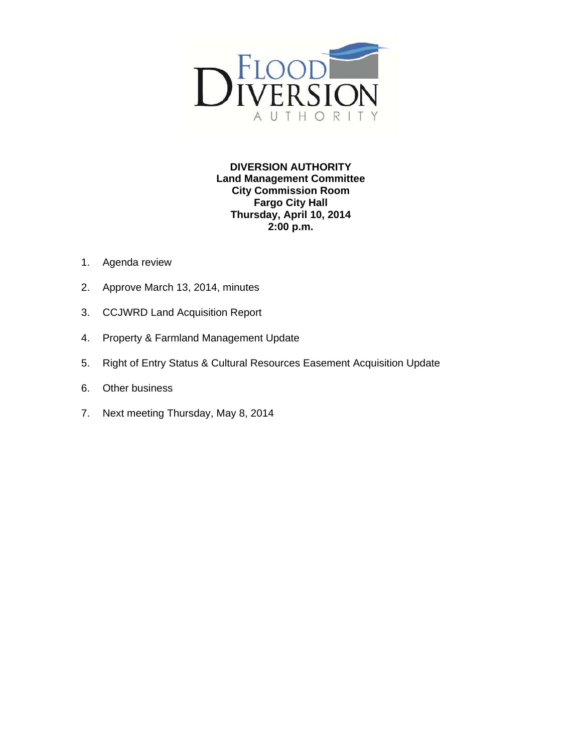

**DIVERSION AUTHORITY Land Management Committee City Commission Room Fargo City Hall Thursday, April 10, 2014 2:00 p.m.** 

- 1. Agenda review
- 2. Approve March 13, 2014, minutes
- 3. CCJWRD Land Acquisition Report
- 4. Property & Farmland Management Update
- 5. Right of Entry Status & Cultural Resources Easement Acquisition Update
- 6. Other business
- 7. Next meeting Thursday, May 8, 2014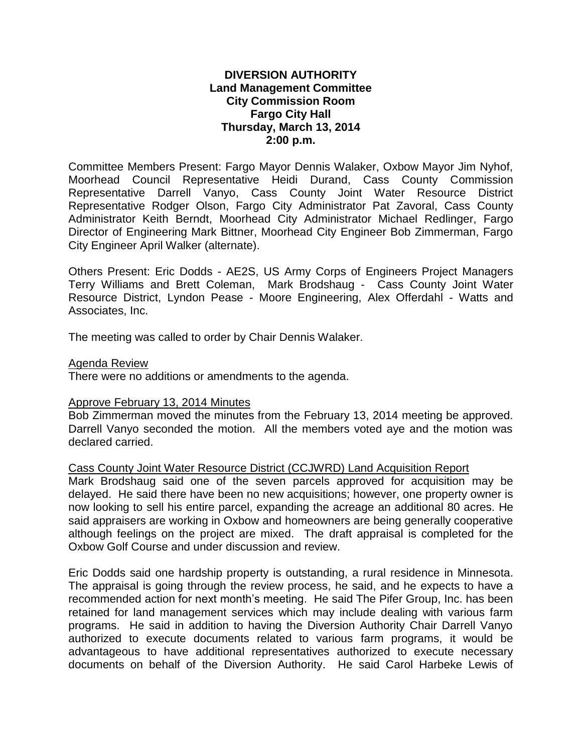# **DIVERSION AUTHORITY Land Management Committee City Commission Room Fargo City Hall Thursday, March 13, 2014 2:00 p.m.**

Committee Members Present: Fargo Mayor Dennis Walaker, Oxbow Mayor Jim Nyhof, Moorhead Council Representative Heidi Durand, Cass County Commission Representative Darrell Vanyo, Cass County Joint Water Resource District Representative Rodger Olson, Fargo City Administrator Pat Zavoral, Cass County Administrator Keith Berndt, Moorhead City Administrator Michael Redlinger, Fargo Director of Engineering Mark Bittner, Moorhead City Engineer Bob Zimmerman, Fargo City Engineer April Walker (alternate).

Others Present: Eric Dodds - AE2S, US Army Corps of Engineers Project Managers Terry Williams and Brett Coleman, Mark Brodshaug - Cass County Joint Water Resource District, Lyndon Pease - Moore Engineering, Alex Offerdahl - Watts and Associates, Inc.

The meeting was called to order by Chair Dennis Walaker.

## Agenda Review

There were no additions or amendments to the agenda.

## Approve February 13, 2014 Minutes

Bob Zimmerman moved the minutes from the February 13, 2014 meeting be approved. Darrell Vanyo seconded the motion. All the members voted aye and the motion was declared carried.

Cass County Joint Water Resource District (CCJWRD) Land Acquisition Report

Mark Brodshaug said one of the seven parcels approved for acquisition may be delayed. He said there have been no new acquisitions; however, one property owner is now looking to sell his entire parcel, expanding the acreage an additional 80 acres. He said appraisers are working in Oxbow and homeowners are being generally cooperative although feelings on the project are mixed. The draft appraisal is completed for the Oxbow Golf Course and under discussion and review.

Eric Dodds said one hardship property is outstanding, a rural residence in Minnesota. The appraisal is going through the review process, he said, and he expects to have a recommended action for next month's meeting. He said The Pifer Group, Inc. has been retained for land management services which may include dealing with various farm programs. He said in addition to having the Diversion Authority Chair Darrell Vanyo authorized to execute documents related to various farm programs, it would be advantageous to have additional representatives authorized to execute necessary documents on behalf of the Diversion Authority. He said Carol Harbeke Lewis of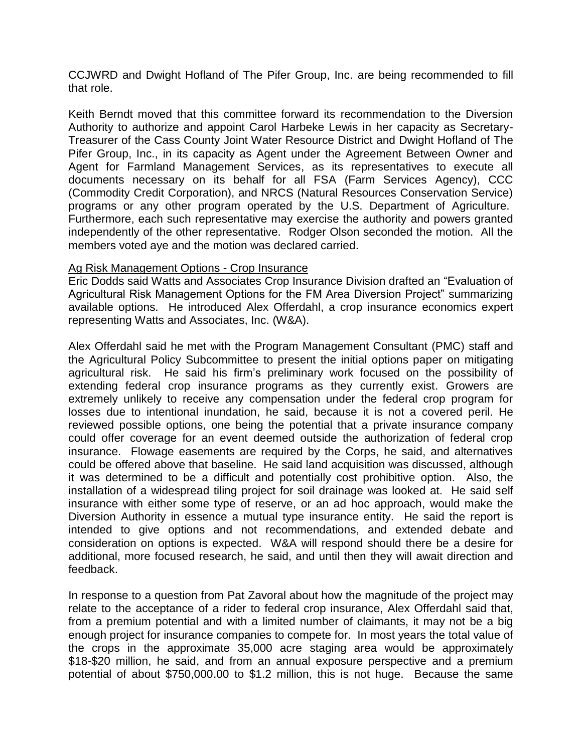CCJWRD and Dwight Hofland of The Pifer Group, Inc. are being recommended to fill that role.

Keith Berndt moved that this committee forward its recommendation to the Diversion Authority to authorize and appoint Carol Harbeke Lewis in her capacity as Secretary-Treasurer of the Cass County Joint Water Resource District and Dwight Hofland of The Pifer Group, Inc., in its capacity as Agent under the Agreement Between Owner and Agent for Farmland Management Services, as its representatives to execute all documents necessary on its behalf for all FSA (Farm Services Agency), CCC (Commodity Credit Corporation), and NRCS (Natural Resources Conservation Service) programs or any other program operated by the U.S. Department of Agriculture. Furthermore, each such representative may exercise the authority and powers granted independently of the other representative. Rodger Olson seconded the motion. All the members voted aye and the motion was declared carried.

## Ag Risk Management Options - Crop Insurance

Eric Dodds said Watts and Associates Crop Insurance Division drafted an "Evaluation of Agricultural Risk Management Options for the FM Area Diversion Project" summarizing available options. He introduced Alex Offerdahl, a crop insurance economics expert representing Watts and Associates, Inc. (W&A).

Alex Offerdahl said he met with the Program Management Consultant (PMC) staff and the Agricultural Policy Subcommittee to present the initial options paper on mitigating agricultural risk. He said his firm's preliminary work focused on the possibility of extending federal crop insurance programs as they currently exist. Growers are extremely unlikely to receive any compensation under the federal crop program for losses due to intentional inundation, he said, because it is not a covered peril. He reviewed possible options, one being the potential that a private insurance company could offer coverage for an event deemed outside the authorization of federal crop insurance. Flowage easements are required by the Corps, he said, and alternatives could be offered above that baseline. He said land acquisition was discussed, although it was determined to be a difficult and potentially cost prohibitive option. Also, the installation of a widespread tiling project for soil drainage was looked at. He said self insurance with either some type of reserve, or an ad hoc approach, would make the Diversion Authority in essence a mutual type insurance entity. He said the report is intended to give options and not recommendations, and extended debate and consideration on options is expected. W&A will respond should there be a desire for additional, more focused research, he said, and until then they will await direction and feedback.

In response to a question from Pat Zavoral about how the magnitude of the project may relate to the acceptance of a rider to federal crop insurance, Alex Offerdahl said that, from a premium potential and with a limited number of claimants, it may not be a big enough project for insurance companies to compete for. In most years the total value of the crops in the approximate 35,000 acre staging area would be approximately \$18-\$20 million, he said, and from an annual exposure perspective and a premium potential of about \$750,000.00 to \$1.2 million, this is not huge. Because the same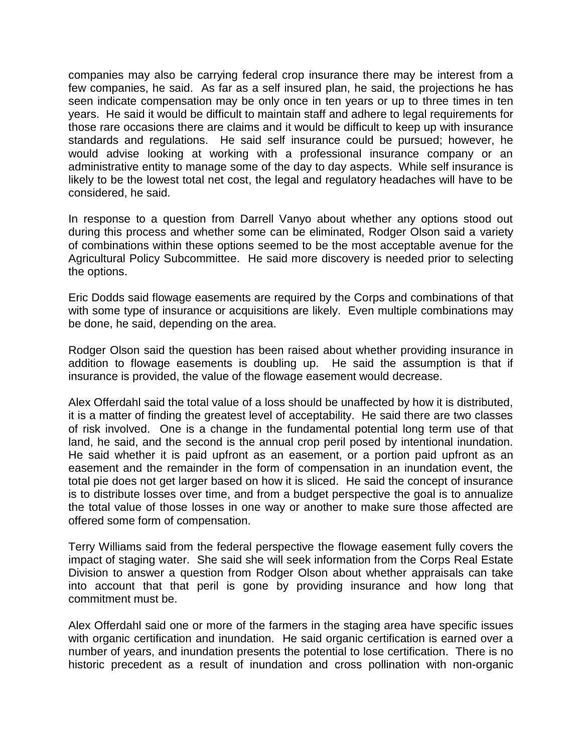companies may also be carrying federal crop insurance there may be interest from a few companies, he said. As far as a self insured plan, he said, the projections he has seen indicate compensation may be only once in ten years or up to three times in ten years. He said it would be difficult to maintain staff and adhere to legal requirements for those rare occasions there are claims and it would be difficult to keep up with insurance standards and regulations. He said self insurance could be pursued; however, he would advise looking at working with a professional insurance company or an administrative entity to manage some of the day to day aspects. While self insurance is likely to be the lowest total net cost, the legal and regulatory headaches will have to be considered, he said.

In response to a question from Darrell Vanyo about whether any options stood out during this process and whether some can be eliminated, Rodger Olson said a variety of combinations within these options seemed to be the most acceptable avenue for the Agricultural Policy Subcommittee. He said more discovery is needed prior to selecting the options.

Eric Dodds said flowage easements are required by the Corps and combinations of that with some type of insurance or acquisitions are likely. Even multiple combinations may be done, he said, depending on the area.

Rodger Olson said the question has been raised about whether providing insurance in addition to flowage easements is doubling up. He said the assumption is that if insurance is provided, the value of the flowage easement would decrease.

Alex Offerdahl said the total value of a loss should be unaffected by how it is distributed, it is a matter of finding the greatest level of acceptability. He said there are two classes of risk involved. One is a change in the fundamental potential long term use of that land, he said, and the second is the annual crop peril posed by intentional inundation. He said whether it is paid upfront as an easement, or a portion paid upfront as an easement and the remainder in the form of compensation in an inundation event, the total pie does not get larger based on how it is sliced. He said the concept of insurance is to distribute losses over time, and from a budget perspective the goal is to annualize the total value of those losses in one way or another to make sure those affected are offered some form of compensation.

Terry Williams said from the federal perspective the flowage easement fully covers the impact of staging water. She said she will seek information from the Corps Real Estate Division to answer a question from Rodger Olson about whether appraisals can take into account that that peril is gone by providing insurance and how long that commitment must be.

Alex Offerdahl said one or more of the farmers in the staging area have specific issues with organic certification and inundation. He said organic certification is earned over a number of years, and inundation presents the potential to lose certification. There is no historic precedent as a result of inundation and cross pollination with non-organic